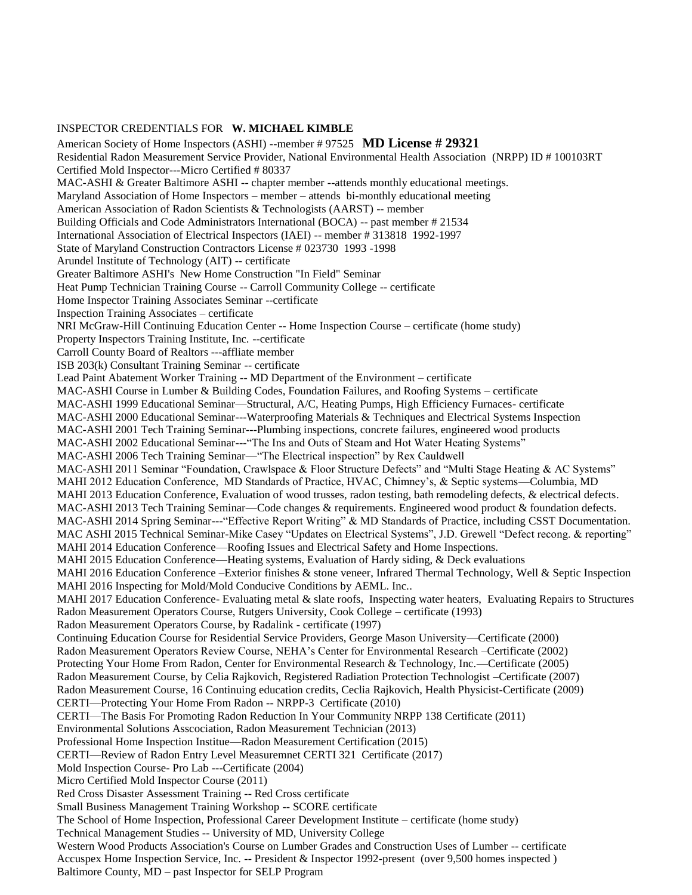## INSPECTOR CREDENTIALS FOR **W. MICHAEL KIMBLE**

American Society of Home Inspectors (ASHI) --member # 97525 **MD License # 29321** Residential Radon Measurement Service Provider, National Environmental Health Association (NRPP) ID # 100103RT Certified Mold Inspector---Micro Certified # 80337 MAC-ASHI & Greater Baltimore ASHI -- chapter member --attends monthly educational meetings. Maryland Association of Home Inspectors – member – attends bi-monthly educational meeting American Association of Radon Scientists & Technologists (AARST) -- member Building Officials and Code Administrators International (BOCA) -- past member # 21534 International Association of Electrical Inspectors (IAEI) -- member # 313818 1992-1997 State of Maryland Construction Contractors License # 023730 1993 -1998 Arundel Institute of Technology (AIT) -- certificate Greater Baltimore ASHI's New Home Construction "In Field" Seminar Heat Pump Technician Training Course -- Carroll Community College -- certificate Home Inspector Training Associates Seminar --certificate Inspection Training Associates – certificate NRI McGraw-Hill Continuing Education Center -- Home Inspection Course – certificate (home study) Property Inspectors Training Institute, Inc. --certificate Carroll County Board of Realtors ---affliate member ISB 203(k) Consultant Training Seminar -- certificate Lead Paint Abatement Worker Training -- MD Department of the Environment – certificate MAC-ASHI Course in Lumber & Building Codes, Foundation Failures, and Roofing Systems – certificate MAC-ASHI 1999 Educational Seminar—Structural, A/C, Heating Pumps, High Efficiency Furnaces- certificate MAC-ASHI 2000 Educational Seminar---Waterproofing Materials & Techniques and Electrical Systems Inspection MAC-ASHI 2001 Tech Training Seminar---Plumbing inspections, concrete failures, engineered wood products MAC-ASHI 2002 Educational Seminar---"The Ins and Outs of Steam and Hot Water Heating Systems" MAC-ASHI 2006 Tech Training Seminar—"The Electrical inspection" by Rex Cauldwell MAC-ASHI 2011 Seminar "Foundation, Crawlspace & Floor Structure Defects" and "Multi Stage Heating & AC Systems" MAHI 2012 Education Conference, MD Standards of Practice, HVAC, Chimney's, & Septic systems—Columbia, MD MAHI 2013 Education Conference, Evaluation of wood trusses, radon testing, bath remodeling defects, & electrical defects. MAC-ASHI 2013 Tech Training Seminar—Code changes & requirements. Engineered wood product & foundation defects. MAC-ASHI 2014 Spring Seminar---"Effective Report Writing" & MD Standards of Practice, including CSST Documentation. MAC ASHI 2015 Technical Seminar-Mike Casey "Updates on Electrical Systems", J.D. Grewell "Defect recong. & reporting" MAHI 2014 Education Conference—Roofing Issues and Electrical Safety and Home Inspections. MAHI 2015 Education Conference—Heating systems, Evaluation of Hardy siding, & Deck evaluations MAHI 2016 Education Conference –Exterior finishes & stone veneer, Infrared Thermal Technology, Well & Septic Inspection MAHI 2016 Inspecting for Mold/Mold Conducive Conditions by AEML. Inc.. MAHI 2017 Education Conference- Evaluating metal & slate roofs, Inspecting water heaters, Evaluating Repairs to Structures Radon Measurement Operators Course, Rutgers University, Cook College – certificate (1993) Radon Measurement Operators Course, by Radalink - certificate (1997) Continuing Education Course for Residential Service Providers, George Mason University—Certificate (2000) Radon Measurement Operators Review Course, NEHA's Center for Environmental Research –Certificate (2002) Protecting Your Home From Radon, Center for Environmental Research & Technology, Inc.—Certificate (2005) Radon Measurement Course, by Celia Rajkovich, Registered Radiation Protection Technologist –Certificate (2007) Radon Measurement Course, 16 Continuing education credits, Ceclia Rajkovich, Health Physicist-Certificate (2009) CERTI—Protecting Your Home From Radon -- NRPP-3 Certificate (2010) CERTI—The Basis For Promoting Radon Reduction In Your Community NRPP 138 Certificate (2011) Environmental Solutions Asscociation, Radon Measurement Technician (2013) Professional Home Inspection Institue—Radon Measurement Certification (2015) CERTI—Review of Radon Entry Level Measuremnet CERTI 321 Certificate (2017) Mold Inspection Course- Pro Lab ---Certificate (2004) Micro Certified Mold Inspector Course (2011) Red Cross Disaster Assessment Training -- Red Cross certificate Small Business Management Training Workshop -- SCORE certificate The School of Home Inspection, Professional Career Development Institute – certificate (home study) Technical Management Studies -- University of MD, University College Western Wood Products Association's Course on Lumber Grades and Construction Uses of Lumber -- certificate Accuspex Home Inspection Service, Inc. -- President & Inspector 1992-present (over 9,500 homes inspected )

Baltimore County, MD – past Inspector for SELP Program